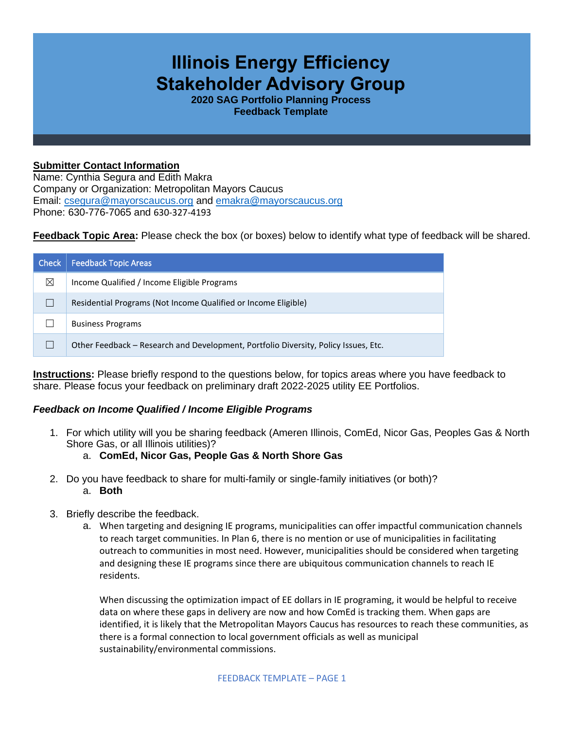## **Illinois Energy Efficiency Stakeholder Advisory Group**

**2020 SAG Portfolio Planning Process Feedback Template**

## **Submitter Contact Information**

Name: Cynthia Segura and Edith Makra Company or Organization: Metropolitan Mayors Caucus Email: [csegura@mayorscaucus.org](mailto:csegura@mayorscaucus.org) and [emakra@mayorscaucus.org](mailto:emakra@mayorscaucus.org) Phone: 630-776-7065 and 630-327-4193

**Feedback Topic Area:** Please check the box (or boxes) below to identify what type of feedback will be shared.

| <b>Check</b> | Feedback Topic Areas                                                                |
|--------------|-------------------------------------------------------------------------------------|
| ⊠            | Income Qualified / Income Eligible Programs                                         |
|              | Residential Programs (Not Income Qualified or Income Eligible)                      |
|              | <b>Business Programs</b>                                                            |
|              | Other Feedback – Research and Development, Portfolio Diversity, Policy Issues, Etc. |

**Instructions:** Please briefly respond to the questions below, for topics areas where you have feedback to share. Please focus your feedback on preliminary draft 2022-2025 utility EE Portfolios.

## *Feedback on Income Qualified / Income Eligible Programs*

1. For which utility will you be sharing feedback (Ameren Illinois, ComEd, Nicor Gas, Peoples Gas & North Shore Gas, or all Illinois utilities)?

## a. **ComEd, Nicor Gas, People Gas & North Shore Gas**

- 2. Do you have feedback to share for multi-family or single-family initiatives (or both)? a. **Both**
- 3. Briefly describe the feedback.
	- a. When targeting and designing IE programs, municipalities can offer impactful communication channels to reach target communities. In Plan 6, there is no mention or use of municipalities in facilitating outreach to communities in most need. However, municipalities should be considered when targeting and designing these IE programs since there are ubiquitous communication channels to reach IE residents.

When discussing the optimization impact of EE dollars in IE programing, it would be helpful to receive data on where these gaps in delivery are now and how ComEd is tracking them. When gaps are identified, it is likely that the Metropolitan Mayors Caucus has resources to reach these communities, as there is a formal connection to local government officials as well as municipal sustainability/environmental commissions.